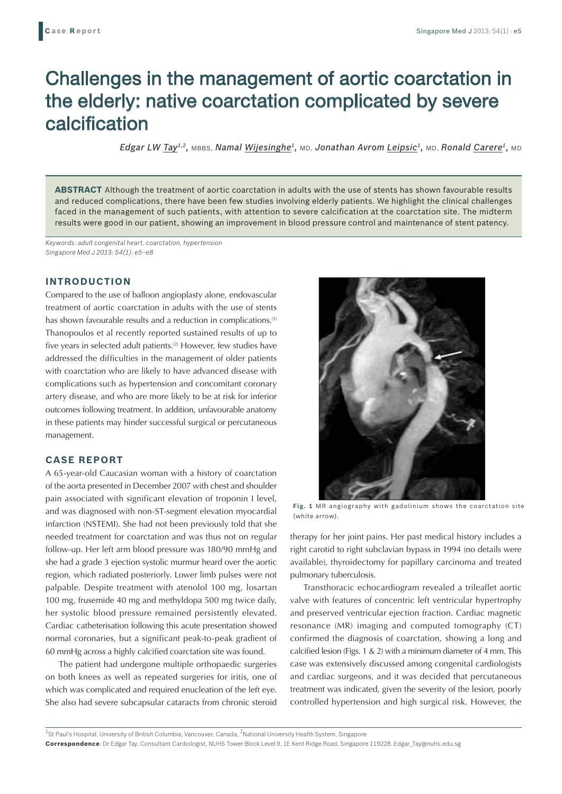# Challenges in the management of aortic coarctation in the elderly: native coarctation complicated by severe calcification

*Edgar LW Tay1,2,* MBBS, *Namal Wijesinghe1,* MD, *Jonathan Avrom Leipsic1,* MD, *Ronald Carere1,* MD

**ABSTRACT** Although the treatment of aortic coarctation in adults with the use of stents has shown favourable results and reduced complications, there have been few studies involving elderly patients. We highlight the clinical challenges faced in the management of such patients, with attention to severe calcification at the coarctation site. The midterm results were good in our patient, showing an improvement in blood pressure control and maintenance of stent patency.

*Keywords: adult congenital heart, coarctation, hypertension Singapore Med J 2013; 54(1): e5–e8*

# **INTRODUCTION**

Compared to the use of balloon angioplasty alone, endovascular treatment of aortic coarctation in adults with the use of stents has shown favourable results and a reduction in complications.<sup>(1)</sup> Thanopoulos et al recently reported sustained results of up to five years in selected adult patients.<sup>(2)</sup> However, few studies have addressed the difficulties in the management of older patients with coarctation who are likely to have advanced disease with complications such as hypertension and concomitant coronary artery disease, and who are more likely to be at risk for inferior outcomes following treatment. In addition, unfavourable anatomy in these patients may hinder successful surgical or percutaneous management.

### **CASE REPORT**

A 65-year-old Caucasian woman with a history of coarctation of the aorta presented in December 2007 with chest and shoulder pain associated with significant elevation of troponin I level, and was diagnosed with non-ST-segment elevation myocardial infarction (NSTEMI). She had not been previously told that she needed treatment for coarctation and was thus not on regular follow-up. Her left arm blood pressure was 180/90 mmHg and she had a grade 3 ejection systolic murmur heard over the aortic region, which radiated posteriorly. Lower limb pulses were not palpable. Despite treatment with atenolol 100 mg, losartan 100 mg, frusemide 40 mg and methyldopa 500 mg twice daily, her systolic blood pressure remained persistently elevated. Cardiac catheterisation following this acute presentation showed normal coronaries, but a significant peak-to-peak gradient of 60 mmHg across a highly calcified coarctation site was found.

The patient had undergone multiple orthopaedic surgeries on both knees as well as repeated surgeries for iritis, one of which was complicated and required enucleation of the left eye. She also had severe subcapsular cataracts from chronic steroid



**Fig. 1** MR angiography with gadolinium shows the coarctation site (white arrow).

therapy for her joint pains. Her past medical history includes a right carotid to right subclavian bypass in 1994 (no details were available), thyroidectomy for papillary carcinoma and treated pulmonary tuberculosis.

Transthoracic echocardiogram revealed a trileaflet aortic valve with features of concentric left ventricular hypertrophy and preserved ventricular ejection fraction. Cardiac magnetic resonance (MR) imaging and computed tomography (CT) confirmed the diagnosis of coarctation, showing a long and calcified lesion (Figs. 1 & 2) with a minimum diameter of 4 mm. This case was extensively discussed among congenital cardiologists and cardiac surgeons, and it was decided that percutaneous treatment was indicated, given the severity of the lesion, poorly controlled hypertension and high surgical risk. However, the

<sup>1</sup>St Paul's Hospital, University of British Columbia, Vancouver, Canada, <sup>2</sup>National University Health System, Singapore **Correspondence**: Dr Edgar Tay, Consultant Cardiologist, NUHS Tower Block Level 9, 1E Kent Ridge Road, Singapore 119228. Edgar\_Tay@nuhs.edu.sg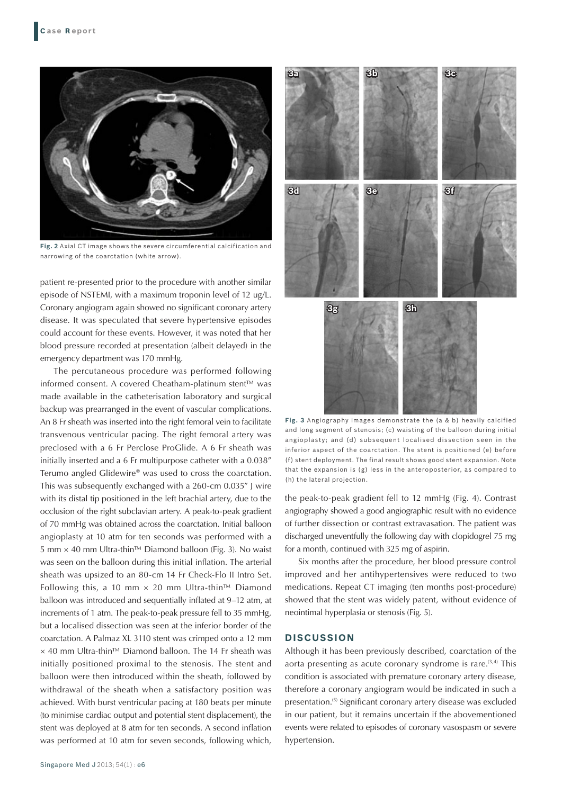

**Fig. 2** Axial CT image shows the severe circumferential calcification and narrowing of the coarctation (white arrow).

patient re-presented prior to the procedure with another similar episode of NSTEMI, with a maximum troponin level of 12 ug/L. Coronary angiogram again showed no significant coronary artery disease. It was speculated that severe hypertensive episodes could account for these events. However, it was noted that her blood pressure recorded at presentation (albeit delayed) in the emergency department was 170 mmHg.

The percutaneous procedure was performed following informed consent. A covered Cheatham-platinum stent™ was made available in the catheterisation laboratory and surgical backup was prearranged in the event of vascular complications. An 8 Fr sheath was inserted into the right femoral vein to facilitate transvenous ventricular pacing. The right femoral artery was preclosed with a 6 Fr Perclose ProGlide. A 6 Fr sheath was initially inserted and a 6 Fr multipurpose catheter with a 0.038" Terumo angled Glidewire® was used to cross the coarctation. This was subsequently exchanged with a 260-cm 0.035" J wire with its distal tip positioned in the left brachial artery, due to the occlusion of the right subclavian artery. A peak-to-peak gradient of 70 mmHg was obtained across the coarctation. Initial balloon angioplasty at 10 atm for ten seconds was performed with a 5 mm × 40 mm Ultra-thin™ Diamond balloon (Fig. 3). No waist was seen on the balloon during this initial inflation. The arterial sheath was upsized to an 80-cm 14 Fr Check-Flo II Intro Set. Following this, a 10 mm  $\times$  20 mm Ultra-thin™ Diamond balloon was introduced and sequentially inflated at 9–12 atm, at increments of 1 atm. The peak-to-peak pressure fell to 35 mmHg, but a localised dissection was seen at the inferior border of the coarctation. A Palmaz XL 3110 stent was crimped onto a 12 mm × 40 mm Ultra-thin™ Diamond balloon. The 14 Fr sheath was initially positioned proximal to the stenosis. The stent and balloon were then introduced within the sheath, followed by withdrawal of the sheath when a satisfactory position was achieved. With burst ventricular pacing at 180 beats per minute (to minimise cardiac output and potential stent displacement), the stent was deployed at 8 atm for ten seconds. A second inflation was performed at 10 atm for seven seconds, following which,



**Fig. 3** Angiography images demonstrate the (a & b) heavily calcified and long segment of stenosis; (c) waisting of the balloon during initial angioplasty; and (d) subsequent localised dissection seen in the inferior aspect of the coarctation. The stent is positioned (e) before (f) stent deployment. The final result shows good stent expansion. Note that the expansion is (g) less in the anteroposterior, as compared to (h) the lateral projection.

the peak-to-peak gradient fell to 12 mmHg (Fig. 4). Contrast angiography showed a good angiographic result with no evidence of further dissection or contrast extravasation. The patient was discharged uneventfully the following day with clopidogrel 75 mg for a month, continued with 325 mg of aspirin.

Six months after the procedure, her blood pressure control improved and her antihypertensives were reduced to two medications. Repeat CT imaging (ten months post-procedure) showed that the stent was widely patent, without evidence of neointimal hyperplasia or stenosis (Fig. 5).

# **DISCUSSION**

Although it has been previously described, coarctation of the aorta presenting as acute coronary syndrome is rare. $(3,4)$  This condition is associated with premature coronary artery disease, therefore a coronary angiogram would be indicated in such a presentation.<sup>(5)</sup> Significant coronary artery disease was excluded in our patient, but it remains uncertain if the abovementioned events were related to episodes of coronary vasospasm or severe hypertension.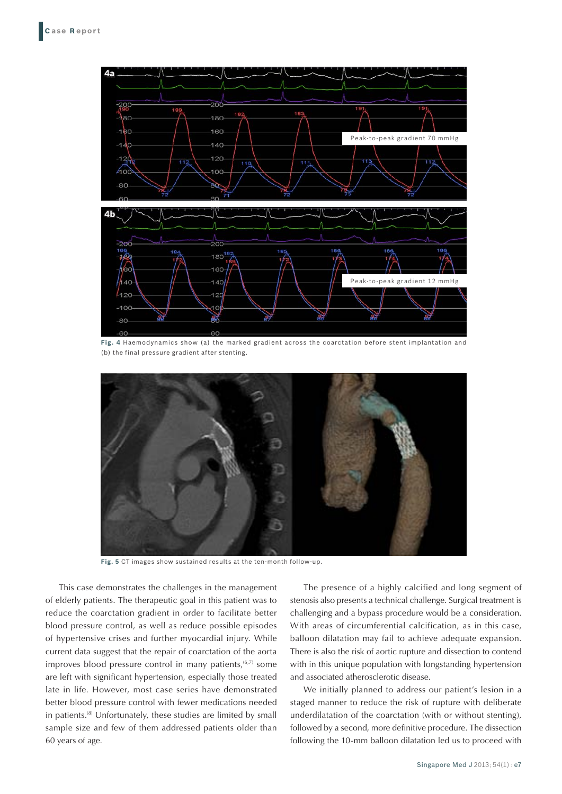

**Fig. 4** Haemodynamics show (a) the marked gradient across the coarctation before stent implantation and (b) the final pressure gradient after stenting.



**Fig. 5** CT images show sustained results at the ten-month follow-up.

This case demonstrates the challenges in the management of elderly patients. The therapeutic goal in this patient was to reduce the coarctation gradient in order to facilitate better blood pressure control, as well as reduce possible episodes of hypertensive crises and further myocardial injury. While current data suggest that the repair of coarctation of the aorta improves blood pressure control in many patients, $(6,7)$  some are left with significant hypertension, especially those treated late in life. However, most case series have demonstrated better blood pressure control with fewer medications needed in patients.(8) Unfortunately, these studies are limited by small sample size and few of them addressed patients older than 60 years of age.

The presence of a highly calcified and long segment of stenosis also presents a technical challenge. Surgical treatment is challenging and a bypass procedure would be a consideration. With areas of circumferential calcification, as in this case, balloon dilatation may fail to achieve adequate expansion. There is also the risk of aortic rupture and dissection to contend with in this unique population with longstanding hypertension and associated atherosclerotic disease.

We initially planned to address our patient's lesion in a staged manner to reduce the risk of rupture with deliberate underdilatation of the coarctation (with or without stenting), followed by a second, more definitive procedure. The dissection following the 10-mm balloon dilatation led us to proceed with